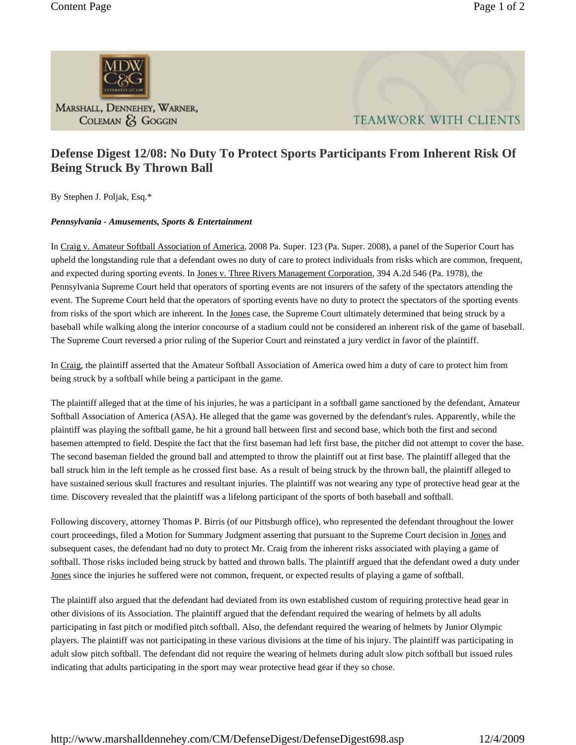

MARSHALL, DENNEHEY, WARNER, COLEMAN & GOGGIN



## **Defense Digest 12/08: No Duty To Protect Sports Participants From Inherent Risk Of Being Struck By Thrown Ball**

By Stephen J. Poljak, Esq.\*

## *Pennsylvania - Amusements, Sports & Entertainment*

In Craig v. Amateur Softball Association of America, 2008 Pa. Super. 123 (Pa. Super. 2008), a panel of the Superior Court has upheld the longstanding rule that a defendant owes no duty of care to protect individuals from risks which are common, frequent, and expected during sporting events. In Jones v. Three Rivers Management Corporation, 394 A.2d 546 (Pa. 1978), the Pennsylvania Supreme Court held that operators of sporting events are not insurers of the safety of the spectators attending the event. The Supreme Court held that the operators of sporting events have no duty to protect the spectators of the sporting events from risks of the sport which are inherent. In the Jones case, the Supreme Court ultimately determined that being struck by a baseball while walking along the interior concourse of a stadium could not be considered an inherent risk of the game of baseball. The Supreme Court reversed a prior ruling of the Superior Court and reinstated a jury verdict in favor of the plaintiff.

In Craig, the plaintiff asserted that the Amateur Softball Association of America owed him a duty of care to protect him from being struck by a softball while being a participant in the game.

The plaintiff alleged that at the time of his injuries, he was a participant in a softball game sanctioned by the defendant, Amateur Softball Association of America (ASA). He alleged that the game was governed by the defendant's rules. Apparently, while the plaintiff was playing the softball game, he hit a ground ball between first and second base, which both the first and second basemen attempted to field. Despite the fact that the first baseman had left first base, the pitcher did not attempt to cover the base. The second baseman fielded the ground ball and attempted to throw the plaintiff out at first base. The plaintiff alleged that the ball struck him in the left temple as he crossed first base. As a result of being struck by the thrown ball, the plaintiff alleged to have sustained serious skull fractures and resultant injuries. The plaintiff was not wearing any type of protective head gear at the time. Discovery revealed that the plaintiff was a lifelong participant of the sports of both baseball and softball.

Following discovery, attorney Thomas P. Birris (of our Pittsburgh office), who represented the defendant throughout the lower court proceedings, filed a Motion for Summary Judgment asserting that pursuant to the Supreme Court decision in Jones and subsequent cases, the defendant had no duty to protect Mr. Craig from the inherent risks associated with playing a game of softball. Those risks included being struck by batted and thrown balls. The plaintiff argued that the defendant owed a duty under Jones since the injuries he suffered were not common, frequent, or expected results of playing a game of softball.

The plaintiff also argued that the defendant had deviated from its own established custom of requiring protective head gear in other divisions of its Association. The plaintiff argued that the defendant required the wearing of helmets by all adults participating in fast pitch or modified pitch softball. Also, the defendant required the wearing of helmets by Junior Olympic players. The plaintiff was not participating in these various divisions at the time of his injury. The plaintiff was participating in adult slow pitch softball. The defendant did not require the wearing of helmets during adult slow pitch softball but issued rules indicating that adults participating in the sport may wear protective head gear if they so chose.